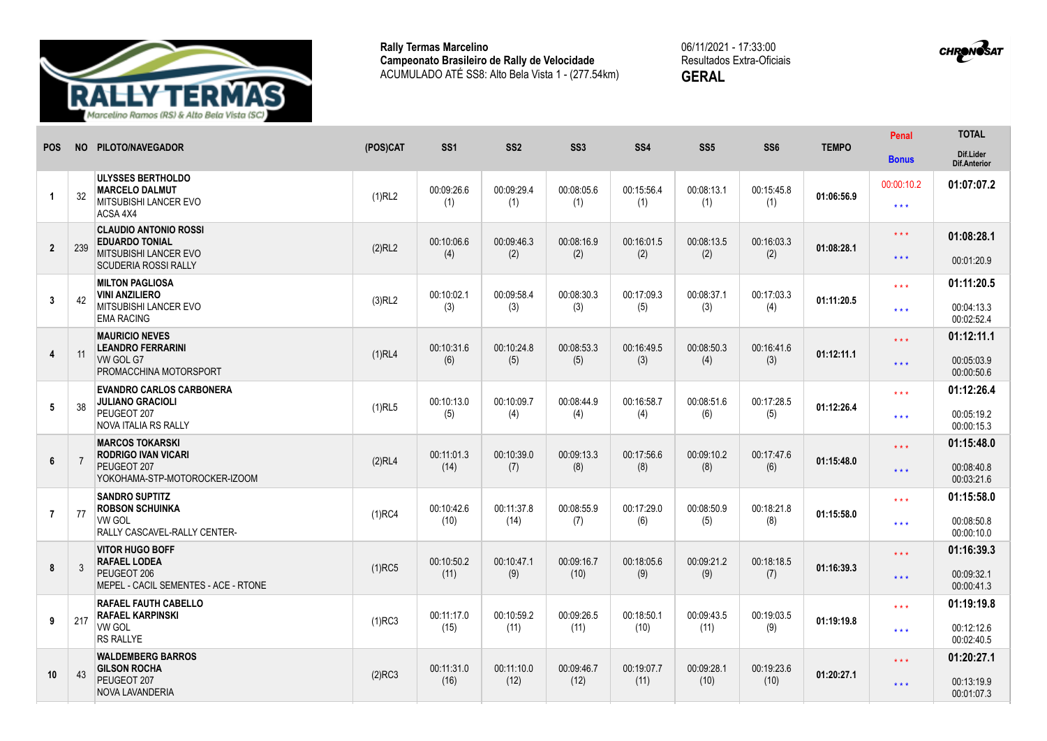

**Rally Termas Marcelino Campeonato Brasileiro de Rally de Velocidade** ACUMULADO ATÉ SS8: Alto Bela Vista 1 - (277.54km) 06/11/2021 - 17:33:00 Resultados Extra-Oficiais **GERAL**



|                |     | NO PILOTO/NAVEGADOR                                                                              | (POS)CAT  | SS <sub>1</sub> |                 | SS <sub>3</sub> |                   |                    |                   | <b>TEMPO</b> | <b>Penal</b>        | <b>TOTAL</b>                     |
|----------------|-----|--------------------------------------------------------------------------------------------------|-----------|-----------------|-----------------|-----------------|-------------------|--------------------|-------------------|--------------|---------------------|----------------------------------|
| <b>POS</b>     |     |                                                                                                  |           |                 | SS <sub>2</sub> |                 | SS <sub>4</sub>   | SS <sub>5</sub>    | SS <sub>6</sub>   |              | <b>Bonus</b>        | Dif.Lider<br><b>Dif.Anterior</b> |
|                |     | <b>ULYSSES BERTHOLDO</b><br><b>MARCELO DALMUT</b>                                                |           | 00:09:26.6      | 00:09:29.4      | 00:08:05.6      | 00:15:56.4        | 00:08:13.1         | 00:15:45.8        | 01:06:56.9   | 00:00:10.2          | 01:07:07.2                       |
|                | 32  | <b>MITSUBISHI LANCER EVO</b><br>ACSA 4X4                                                         | (1)RL2    | (1)             | (1)             | (1)             | (1)               | (1)                | (1)               |              | $\star\star\star$   |                                  |
|                |     | <b>CLAUDIO ANTONIO ROSSI</b><br><b>EDUARDO TONIAL</b>                                            |           | 00:10:06.6      | 00:09:46.3      | 00:08:16.9      | 00:16:01.5        |                    | 00:16:03.3        |              | $***$               | 01:08:28.1                       |
| $\overline{2}$ | 239 | MITSUBISHI LANCER EVO<br><b>SCUDERIA ROSSI RALLY</b>                                             | (2)RL2    | (4)             | (2)             | (2)             | (2)               | 00:08:13.5<br>(2)  | (2)               | 01:08:28.1   | $\star\star\star$   | 00:01:20.9                       |
|                |     | <b>MILTON PAGLIOSA</b><br><b>VINI ANZILIERO</b>                                                  |           | 00:10:02.1      | 00:09:58.4      | 00:08:30.3      | 00:17:09.3        |                    | 00:17:03.3        |              | $\star \star \star$ | 01:11:20.5                       |
| $\overline{3}$ | 42  | MITSUBISHI LANCER EVO<br><b>EMA RACING</b>                                                       | $(3)$ RL2 | (3)             | (3)             | (3)             | (5)               | 00:08:37.1<br>(3)  | (4)               | 01:11:20.5   | $***$               | 00:04:13.3<br>00:02:52.4         |
|                |     | <b>MAURICIO NEVES</b><br><b>LEANDRO FERRARINI</b>                                                |           | 00:10:31.6      | 00:10:24.8      | 00:08:53.3      | 00:16:49.5        | 00:08:50.3         | 00:16:41.6        |              | $\star \star \star$ | 01:12:11.1                       |
| $\overline{4}$ | 11  | VW GOL G7<br>PROMACCHINA MOTORSPORT                                                              | $(1)$ RL4 | (6)             | (5)             | (5)             | (3)               | (4)                | (3)               | 01:12:11.1   | $\star\star\star$   | 00:05:03.9<br>00:00:50.6         |
|                |     | <b>EVANDRO CARLOS CARBONERA</b><br><b>JULIANO GRACIOLI</b>                                       |           | 00:10:13.0      | 00:10:09.7      | 00:08:44.9      | 00:16:58.7        | 00:08:51.6         | 00:17:28.5        | 01:12:26.4   | $\star \star \star$ | 01:12:26.4                       |
| 5              | 38  | PEUGEOT 207<br>NOVA ITALIA RS RALLY                                                              | $(1)$ RL5 | (5)             | (4)             | (4)             | (4)               | (6)                | (5)               |              | $***$               | 00:05:19.2<br>00:00:15.3         |
|                |     | <b>MARCOS TOKARSKI</b><br><b>RODRIGO IVAN VICARI</b>                                             |           | 00:11:01.3      | 00:10:39.0      | 00:09:13.3      | 00:17:56.6        | 00:09:10.2         | 00:17:47.6        | 01:15:48.0   | $\star \star \star$ | 01:15:48.0                       |
| 6              |     | PEUGEOT 207<br>YOKOHAMA-STP-MOTOROCKER-IZOOM                                                     | (2)RL4    | (14)            | (7)             | (8)             | (8)               | (8)                | (6)               |              | $\star\star\star$   | 00:08:40.8<br>00:03:21.6         |
|                |     | <b>SANDRO SUPTITZ</b><br><b>ROBSON SCHUINKA</b><br><b>VW GOL</b><br>RALLY CASCAVEL-RALLY CENTER- | $(1)$ RC4 | 00:10:42.6      | 00:11:37.8      | 00:08:55.9      | 00:17:29.0<br>(6) | 00:08:50.9<br>(5)  | 00:18:21.8<br>(8) | 01:15:58.0   | $\star \star \star$ | 01:15:58.0                       |
| $\overline{7}$ | 77  |                                                                                                  |           | (10)            | (14)            | (7)             |                   |                    |                   |              | $\star\star\star$   | 00:08:50.8<br>00:00:10.0         |
|                |     | <b>VITOR HUGO BOFF</b><br><b>RAFAEL LODEA</b>                                                    |           | 00:10:50.2      | 00:10:47.1      | 00:09:16.7      | 00:18:05.6        | 00:09:21.2         | 00:18:18.5        | 01:16:39.3   | $\star \star \star$ | 01:16:39.3                       |
| 8              | 3   | PEUGEOT 206<br>MEPEL - CACIL SEMENTES - ACE - RTONE                                              | $(1)$ RC5 | (11)            | (9)             | (10)            | (9)               | (9)                | (7)               |              | $\star\star\star$   | 00:09:32.1<br>00:00:41.3         |
|                |     | <b>RAFAEL FAUTH CABELLO</b><br><b>RAFAEL KARPINSKI</b>                                           |           | 00:11:17.0      | 00:10:59.2      | 00:09:26.5      | 00:18:50.1        | 00:09:43.5<br>(11) | 00:19:03.5        | 01:19:19.8   | $\star \star \star$ | 01:19:19.8                       |
| 9              | 217 | <b>VW GOL</b><br><b>RS RALLYE</b>                                                                | $(1)$ RC3 | (15)            | (11)            | (11)            | (10)              |                    | (9)               |              | $\star\star\star$   | 00:12:12.6<br>00:02:40.5         |
|                |     | <b>WALDEMBERG BARROS</b><br><b>GILSON ROCHA</b>                                                  |           | 00:11:31.0      | 00:11:10.0      | 00:09:46.7      | 00:19:07.7        | 00:09:28.1         | 00:19:23.6        | 01:20:27.1   | $***$               | 01:20:27.1                       |
| 10             | 43  | PEUGEOT 207<br><b>NOVA LAVANDERIA</b>                                                            | $(2)$ RC3 | (16)            | (12)            | (12)            | (11)              | (10)               | (10)              |              | $\star\star\star$   | 00:13:19.9<br>00:01:07.3         |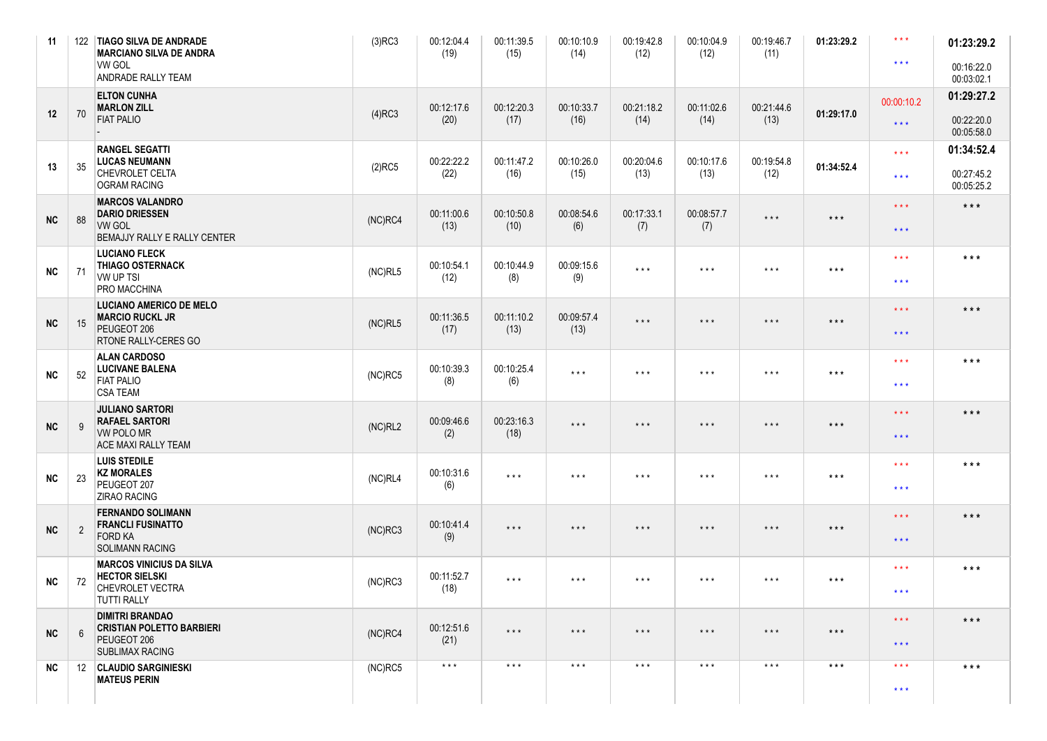| 11         |                | 122 TIAGO SILVA DE ANDRADE<br><b>MARCIANO SILVA DE ANDRA</b><br><b>VW GOL</b><br><b>ANDRADE RALLY TEAM</b> | $(3)$ RC3  | 00:12:04.4<br>(19)      | 00:11:39.5<br>(15)      | 00:10:10.9<br>(14)      | 00:19:42.8<br>(12)      | 00:10:04.9<br>(12)      | 00:19:46.7<br>(11)      | 01:23:29.2              | $\star\star\star$<br>$***$                     | 01:23:29.2<br>00:16:22.0<br>00:03:02.1 |
|------------|----------------|------------------------------------------------------------------------------------------------------------|------------|-------------------------|-------------------------|-------------------------|-------------------------|-------------------------|-------------------------|-------------------------|------------------------------------------------|----------------------------------------|
| 12         | 70             | <b>ELTON CUNHA</b><br><b>MARLON ZILL</b><br><b>FIAT PALIO</b>                                              | $(4)$ RC3  | 00:12:17.6<br>(20)      | 00:12:20.3<br>(17)      | 00:10:33.7<br>(16)      | 00:21:18.2<br>(14)      | 00:11:02.6<br>(14)      | 00:21:44.6<br>(13)      | 01:29:17.0              | 00:00:10.2<br>$\star \star \star$              | 01:29:27.2<br>00:22:20.0<br>00:05:58.0 |
| 13         | 35             | <b>RANGEL SEGATTI</b><br><b>LUCAS NEUMANN</b><br>CHEVROLET CELTA<br><b>OGRAM RACING</b>                    | $(2)$ RC5  | 00:22:22.2<br>(22)      | 00:11:47.2<br>(16)      | 00:10:26.0<br>(15)      | 00:20:04.6<br>(13)      | 00:10:17.6<br>(13)      | 00:19:54.8<br>(12)      | 01:34:52.4              | $***$<br>$\star\star\star$                     | 01:34:52.4<br>00:27:45.2<br>00:05:25.2 |
| NC         | 88             | <b>MARCOS VALANDRO</b><br><b>DARIO DRIESSEN</b><br><b>VW GOL</b><br><b>BEMAJJY RALLY E RALLY CENTER</b>    | $(NC)$ RC4 | 00:11:00.6<br>(13)      | 00:10:50.8<br>(10)      | 00:08:54.6<br>(6)       | 00:17:33.1<br>(7)       | 00:08:57.7<br>(7)       | $\star$ $\star$ $\star$ | $\star\star\star$       | $\star \star \star$<br>$\star\star\star$       | $***$                                  |
| <b>NC</b>  | 71             | <b>LUCIANO FLECK</b><br><b>THIAGO OSTERNACK</b><br><b>VW UP TSI</b><br><b>PRO MACCHINA</b>                 | (NC)RL5    | 00:10:54.1<br>(12)      | 00:10:44.9<br>(8)       | 00:09:15.6<br>(9)       | $\star$ $\star$ $\star$ | $\star$ $\star$ $\star$ | $\star$ $\star$ $\star$ | $\star$ $\star$ $\star$ | $***$<br>$\star\star\star$                     | $***$                                  |
| NC         | 15             | <b>LUCIANO AMERICO DE MELO</b><br><b>MARCIO RUCKL JR</b><br>PEUGEOT 206<br><b>RTONE RALLY-CERES GO</b>     | (NC)RL5    | 00:11:36.5<br>(17)      | 00:11:10.2<br>(13)      | 00:09:57.4<br>(13)      | $\star$ $\star$ $\star$ | $\star$ $\star$ $\star$ | $\star$ $\star$ $\star$ | $\star$ $\star$ $\star$ | $***$<br>$***$                                 | $***$                                  |
| <b>NC</b>  | 52             | <b>ALAN CARDOSO</b><br><b>LUCIVANE BALENA</b><br><b>FIAT PALIO</b><br><b>CSA TEAM</b>                      | $(NC)$ RC5 | 00:10:39.3<br>(8)       | 00:10:25.4<br>(6)       | $\star$ $\star$ $\star$ | $\star$ $\star$ $\star$ | $\star$ $\star$ $\star$ | $\star$ $\star$ $\star$ | $\star$ $\star$ $\star$ | $\star\star\star$<br>$\star\star\star$         | $***$                                  |
| NC         | 9              | <b>JULIANO SARTORI</b><br><b>RAFAEL SARTORI</b><br><b>VW POLO MR</b><br><b>ACE MAXI RALLY TEAM</b>         | (NC)RL2    | 00:09:46.6<br>(2)       | 00:23:16.3<br>(18)      | $\star$ $\star$ $\star$ | $\star$ $\star$ $\star$ | $\star$ $\star$ $\star$ | $\star$ $\star$ $\star$ | $\star$ $\star$ $\star$ | $\star\star\star$<br>$\star\star\star$         | $***$                                  |
| <b>NC</b>  | 23             | <b>LUIS STEDILE</b><br><b>KZ MORALES</b><br>PEUGEOT 207<br><b>ZIRAO RACING</b>                             | (NC)RL4    | 00:10:31.6<br>(6)       | $\star$ $\star$ $\star$ | $\star$ $\star$ $\star$ | $\star$ $\star$ $\star$ | $\star$ $\star$ $\star$ | $\star$ $\star$ $\star$ | $\star\star\star$       | $\star\star\star$<br>$\star\star\star$         | $***$                                  |
| ${\sf NC}$ | $\overline{2}$ | <b>FERNANDO SOLIMANN</b><br><b>FRANCLI FUSINATTO</b><br><b>FORD KA</b><br><b>SOLIMANN RACING</b>           | $(NC)$ RC3 | 00:10:41.4<br>(9)       | $\star$ $\star$ $\star$ | $\star$ $\star$ $\star$ | $\star$ $\star$ $\star$ | $\star$ $\star$ $\star$ | $\star$ $\star$ $\star$ | $\star$ $\star$ $\star$ | $***$<br>$***$                                 | $***$                                  |
| <b>NC</b>  | 72             | <b>MARCOS VINICIUS DA SILVA</b><br><b>HECTOR SIELSKI</b><br>CHEVROLET VECTRA<br><b>TUTTI RALLY</b>         | $(NC)$ RC3 | 00:11:52.7<br>(18)      | $***$                   | $\star$ $\star$ $\star$ | $\star$ $\star$ $\star$ | $\star$ $\star$ $\star$ | $\star$ $\star$ $\star$ | $\star\star\star$       | $* * *$<br>$* * *$                             | $***$                                  |
| NC         | 6              | <b>DIMITRI BRANDAO</b><br><b>CRISTIAN POLETTO BARBIERI</b><br>PEUGEOT 206<br><b>SUBLIMAX RACING</b>        | $(NC)$ RC4 | 00:12:51.6<br>(21)      | $\star$ $\star$ $\star$ | $\star$ $\star$ $\star$ | $\star$ $\star$ $\star$ | $***$                   | $\star$ $\star$ $\star$ | $***$                   | $\star\star\star$<br>$\star\star\star$         | $***$                                  |
| <b>NC</b>  |                | 12 CLAUDIO SARGINIESKI<br><b>MATEUS PERIN</b>                                                              | $(NC)$ RC5 | $\star$ $\star$ $\star$ | $\star$ $\star$ $\star$ | $***$                   | $\star$ $\star$ $\star$ | $\star$ $\star$ $\star$ | $\star$ $\star$ $\star$ | $\star$ $\star$ $\star$ | $\star$ $\star$ $\star$<br>$\star \star \star$ | $***$                                  |